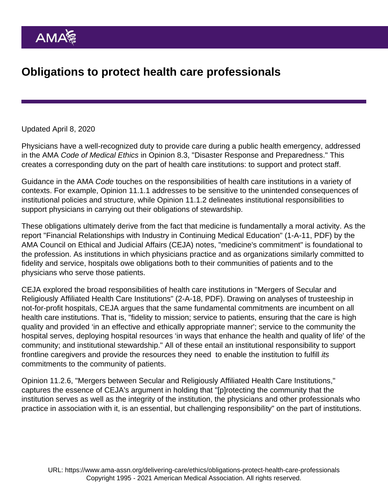## Updated April 8, 2020

Physicians have a well-recognized duty to provide care during a public health emergency, addressed in the AMA Code of Medical Ethics in [Opinion 8.3](https://www.ama-assn.org/delivering-care/ethics/physicians-responsibilities-disaster-response-preparedness), "Disaster Response and Preparedness." This creates a corresponding duty on the part of health care institutions: to support and protect staff.

Guidance in the AMA Code touches on the responsibilities of health care institutions in a variety of contexts. For example, [Opinion 11.1.1](https://www.ama-assn.org/delivering-care/ethics/physician-stewardship-health-care-resources) addresses to be sensitive to the unintended consequences of institutional policies and structure, while [Opinion 11.1.2](https://www.ama-assn.org/delivering-care/ethics/physician-stewardship-health-care-resources) delineates institutional responsibilities to support physicians in carrying out their obligations of stewardship.

These obligations ultimately derive from the fact that medicine is fundamentally a moral activity. As the report "[Financial Relationships with Industry in Continuing Medical Education"](https://www.ama-assn.org/sites/ama-assn.org/files/corp/media-browser/public/about-ama/councils/Council Reports/council-on-ethics-and-judicial-affairs/a11-ceja-financial-relationships-industry-cms.pdf) (1-A-11, PDF) by the AMA Council on Ethical and Judicial Affairs (CEJA) notes, "medicine's commitment" is foundational to the profession. As institutions in which physicians practice and as organizations similarly committed to fidelity and service, hospitals owe obligations both to their communities of patients and to the physicians who serve those patients.

CEJA explored the broad responsibilities of health care institutions in ["Mergers of Secular and](https://www.ama-assn.org/sites/ama-assn.org/files/corp/media-browser/public/about-ama/councils/Council Reports/council-on-ethics-and-judicial-affairs/a18-ceja-report-2.pdf) [Religiously Affiliated Health Care Institutions](https://www.ama-assn.org/sites/ama-assn.org/files/corp/media-browser/public/about-ama/councils/Council Reports/council-on-ethics-and-judicial-affairs/a18-ceja-report-2.pdf)" (2-A-18, PDF). Drawing on analyses of trusteeship in not-for-profit hospitals, CEJA argues that the same fundamental commitments are incumbent on all health care institutions. That is, "fidelity to mission; service to patients, ensuring that the care is high quality and provided 'in an effective and ethically appropriate manner'; service to the community the hospital serves, deploying hospital resources 'in ways that enhance the health and quality of life' of the community; and institutional stewardship." All of these entail an institutional responsibility to support frontline caregivers and provide the resources they need to enable the institution to fulfill its commitments to the community of patients.

[Opinion 11.2.6](https://www.ama-assn.org/delivering-care/ethics/mergers-secular-religiously-affiliated-health-care-institutions), "Mergers between Secular and Religiously Affiliated Health Care Institutions," captures the essence of CEJA's argument in holding that "[p]rotecting the community that the institution serves as well as the integrity of the institution, the physicians and other professionals who practice in association with it, is an essential, but challenging responsibility" on the part of institutions.